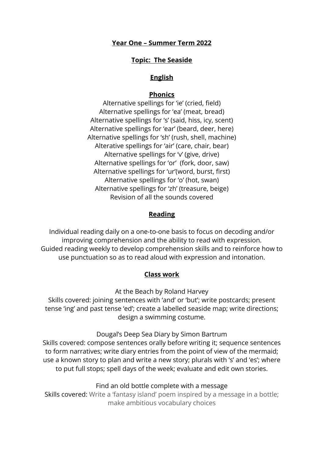### **Year One – Summer Term 2022**

### **Topic: The Seaside**

### **English**

#### **Phonics**

Alternative spellings for 'ie' (cried, field) Alternative spellings for 'ea' (meat, bread) Alternative spellings for 's' (said, hiss, icy, scent) Alternative spellings for 'ear' (beard, deer, here) Alternative spellings for 'sh' (rush, shell, machine) Alterative spellings for 'air' (care, chair, bear) Alternative spellings for 'v' (give, drive) Alternative spellings for 'or' (fork, door, saw) Alternative spellings for 'ur'(word, burst, first) Alternative spellings for 'o' (hot, swan) Alternative spellings for 'zh' (treasure, beige) Revision of all the sounds covered

### **Reading**

Individual reading daily on a one-to-one basis to focus on decoding and/or improving comprehension and the ability to read with expression. Guided reading weekly to develop comprehension skills and to reinforce how to use punctuation so as to read aloud with expression and intonation.

### **Class work**

At the Beach by Roland Harvey

Skills covered: joining sentences with 'and' or 'but'; write postcards; present tense 'ing' and past tense 'ed'; create a labelled seaside map; write directions; design a swimming costume.

Dougal's Deep Sea Diary by Simon Bartrum

Skills covered: compose sentences orally before writing it; sequence sentences to form narratives; write diary entries from the point of view of the mermaid; use a known story to plan and write a new story; plurals with 's' and 'es'; where to put full stops; spell days of the week; evaluate and edit own stories.

Find an old bottle complete with a message

Skills covered: Write a 'fantasy island' poem inspired by a message in a bottle; make ambitious vocabulary choices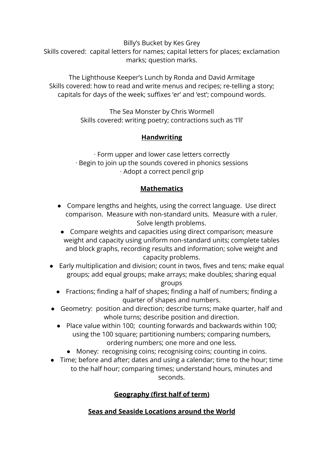Billy's Bucket by Kes Grey Skills covered: capital letters for names; capital letters for places; exclamation marks; question marks.

The Lighthouse Keeper's Lunch by Ronda and David Armitage Skills covered: how to read and write menus and recipes; re-telling a story; capitals for days of the week; suffixes 'er' and 'est'; compound words.

> The Sea Monster by Chris Wormell Skills covered: writing poetry; contractions such as 'I'll'

# **Handwriting**

∙ Form upper and lower case letters correctly ∙ Begin to join up the sounds covered in phonics sessions ∙ Adopt a correct pencil grip

# **Mathematics**

- **●** Compare lengths and heights, using the correct language. Use direct comparison. Measure with non-standard units. Measure with a ruler. Solve length problems.
- Compare weights and capacities using direct comparison; measure weight and capacity using uniform non-standard units; complete tables and block graphs, recording results and information; solve weight and capacity problems.
- Early multiplication and division; count in twos, fives and tens; make equal groups; add equal groups; make arrays; make doubles; sharing equal groups
	- Fractions; finding a half of shapes; finding a half of numbers; finding a quarter of shapes and numbers.
- Geometry: position and direction; describe turns; make quarter, half and whole turns; describe position and direction.
	- **●** Place value within 100; counting forwards and backwards within 100; using the 100 square; partitioning numbers; comparing numbers, ordering numbers; one more and one less.
		- Money: recognising coins; recognising coins; counting in coins.
- Time; before and after; dates and using a calendar; time to the hour; time to the half hour; comparing times; understand hours, minutes and seconds.

# **Geography (first half of term)**

# **Seas and Seaside Locations around the World**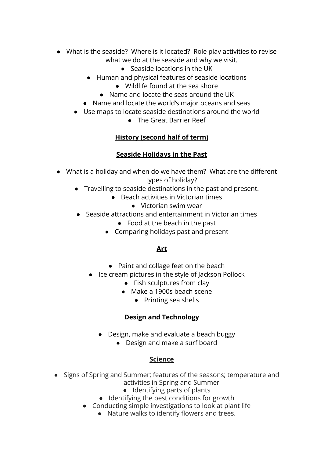- What is the seaside? Where is it located? Role play activities to revise what we do at the seaside and why we visit.
	- Seaside locations in the UK
	- Human and physical features of seaside locations
		- Wildlife found at the sea shore
		- Name and locate the seas around the UK
	- Name and locate the world's major oceans and seas
	- Use maps to locate seaside destinations around the world
		- The Great Barrier Reef

# **History (second half of term)**

## **Seaside Holidays in the Past**

- What is a holiday and when do we have them? What are the different types of holiday?
	- Travelling to seaside destinations in the past and present.
		- Beach activities in Victorian times
			- Victorian swim wear
	- Seaside attractions and entertainment in Victorian times
		- $\bullet$  Food at the beach in the past
		- Comparing holidays past and present

## **Art**

- **●** Paint and collage feet on the beach
- **●** Ice cream pictures in the style of Jackson Pollock
	- **●** Fish sculptures from clay
	- **●** Make a 1900s beach scene
		- **●** Printing sea shells

## **Design and Technology**

- Design, make and evaluate a beach buggy
	- Design and make a surf board

## **Science**

- Signs of Spring and Summer; features of the seasons; temperature and activities in Spring and Summer
	- Identifying parts of plants
	- Identifying the best conditions for growth
	- Conducting simple investigations to look at plant life
		- Nature walks to identify flowers and trees.